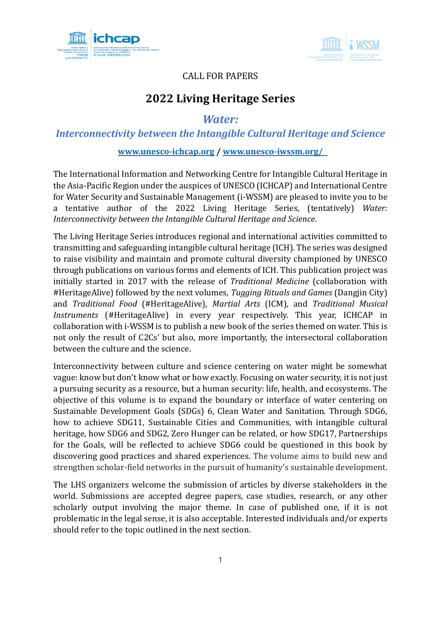



## CALL FOR PAPERS

# **2022 Living Heritage Series**

*Water:* 

*Interconnectivity between the Intangible Cultural Heritage and Science*

## **[www.unesco-ichcap.org](http://www.unesco-ichcap.org/) / [www.unesco-iwssm.org/](http://www.unesco-iwssm.org/)**

The International Information and Networking Centre for Intangible Cultural Heritage in the Asia-Pacific Region under the auspices of UNESCO (ICHCAP) and International Centre for Water Security and Sustainable Management (i-WSSM) are pleased to invite you to be a tentative author of the 2022 Living Heritage Series, (tentatively) *Water: Interconnectivity between the Intangible Cultural Heritage and Science*.

The Living Heritage Series introduces regional and international activities committed to transmitting and safeguarding intangible cultural heritage (ICH). The series was designed to raise visibility and maintain and promote cultural diversity championed by UNESCO through publications on various forms and elements of ICH. This publication project was initially started in 2017 with the release of *Traditional Medicine* (collaboration with #HeritageAlive) followed by the next volumes, *Tugging Rituals and Games* (Dangjin City) and *Traditional Food* (#HeritageAlive)*, Martial Arts* (ICM)*,* and *Traditional Musical Instruments* (#HeritageAlive) in every year respectively. This year, ICHCAP in collaboration with i-WSSM is to publish a new book of the series themed on water. This is not only the result of C2Cs' but also, more importantly, the intersectoral collaboration between the culture and the science.

Interconnectivity between culture and science centering on water might be somewhat vague: know but don't know what or how exactly. Focusing on water security, it is not just a pursuing security as a resource, but a human security: life, health, and ecosystems. The objective of this volume is to expand the boundary or interface of water centering on Sustainable Development Goals (SDGs) 6, Clean Water and Sanitation. Through SDG6, how to achieve SDG11, Sustainable Cities and Communities, with intangible cultural heritage, how SDG6 and SDG2, Zero Hunger can be related, or how SDG17, Partnerships for the Goals, will be reflected to achieve SDG6 could be questioned in this book by discovering good practices and shared experiences. The volume aims to build new and strengthen scholar-field networks in the pursuit of humanity's sustainable development.

The LHS organizers welcome the submission of articles by diverse stakeholders in the world. Submissions are accepted degree papers, case studies, research, or any other scholarly output involving the major theme. In case of published one, if it is not problematic in the legal sense, it is also acceptable. Interested individuals and/or experts should refer to the topic outlined in the next section.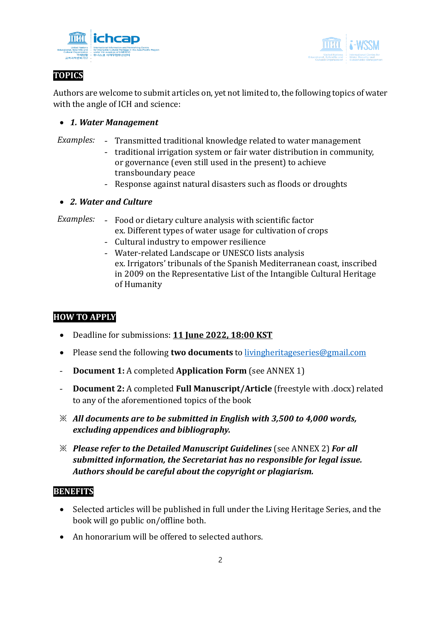



# **TOPICS**

Authors are welcome to submit articles on, yet not limited to, the following topics of water with the angle of ICH and science:

## • *1. Water Management*

- *Examples:* Transmitted traditional knowledge related to water management
	- traditional irrigation system or fair water distribution in community, or governance (even still used in the present) to achieve transboundary peace
	- Response against natural disasters such as floods or droughts

## • *2. Water and Culture*

*Examples:* - Food or dietary culture analysis with scientific factor ex. Different types of water usage for cultivation of crops

- Cultural industry to empower resilience
- Water-related Landscape or UNESCO lists analysis ex. Irrigators' tribunals of the Spanish Mediterranean coast, inscribed in 2009 on the Representative List of the Intangible Cultural Heritage of Humanity

## **HOW TO APPLY**

- Deadline for submissions: **11 June 2022, 18:00 KST**
- Please send the following **two documents** to [livingheritageseries@gmail.com](mailto:ich.ngo.conference@gmail.com)
- **Document 1:** A completed **Application Form** (see ANNEX 1)
- **Document 2:** A completed **Full Manuscript/Article** (freestyle with .docx) related to any of the aforementioned topics of the book
- ※ *All documents are to be submitted in English with 3,500 to 4,000 words, excluding appendices and bibliography.*
- ※ *Please refer to the Detailed Manuscript Guidelines* (see ANNEX 2) *For all submitted information, the Secretariat has no responsible for legal issue. Authors should be careful about the copyright or plagiarism.*

## **BENEFITS**

- Selected articles will be published in full under the Living Heritage Series, and the book will go public on/offline both.
- An honorarium will be offered to selected authors.